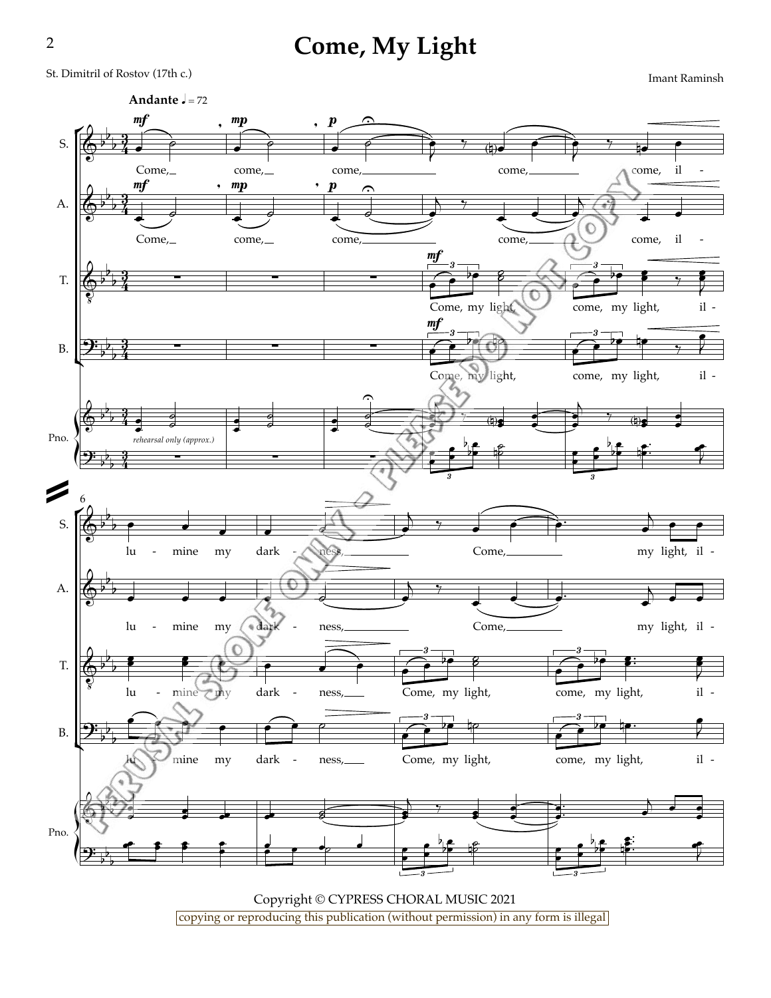Imant Raminsh St. Dimitril of Rostov (17th c.)



copying or reproducing this publication (without permission) in any form is illegal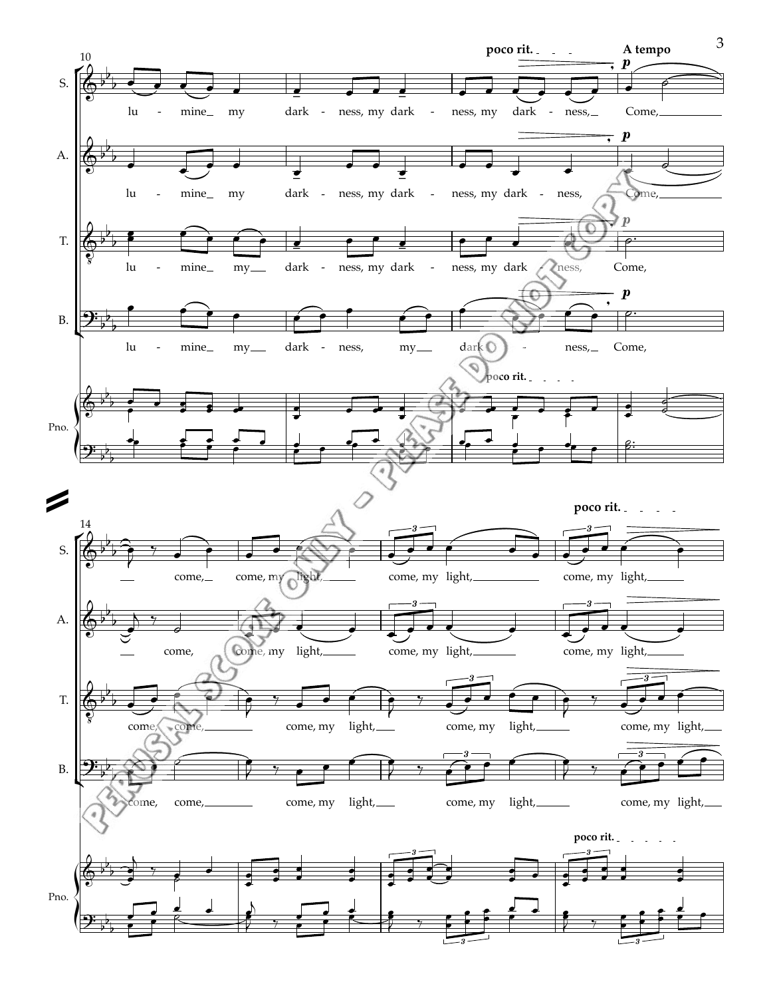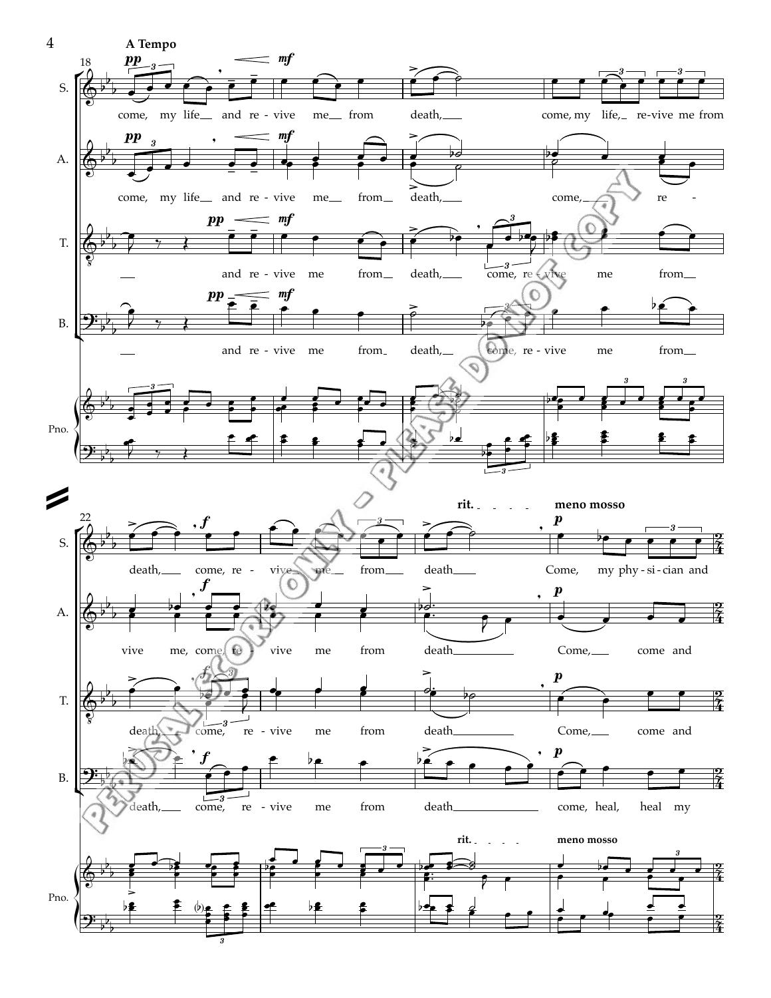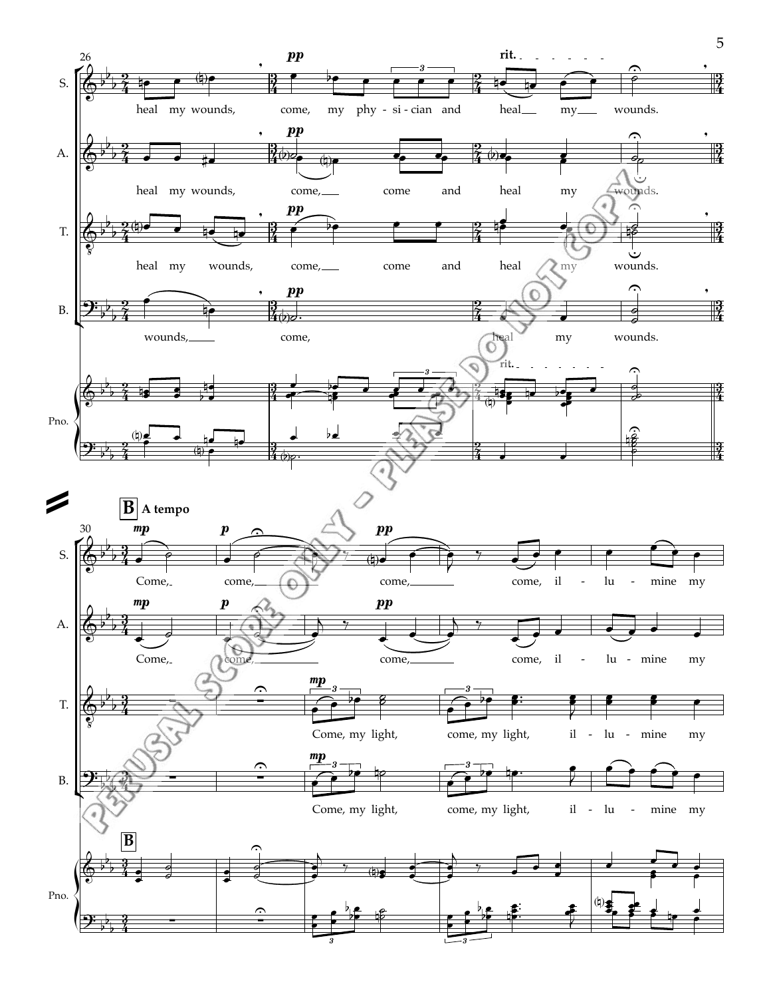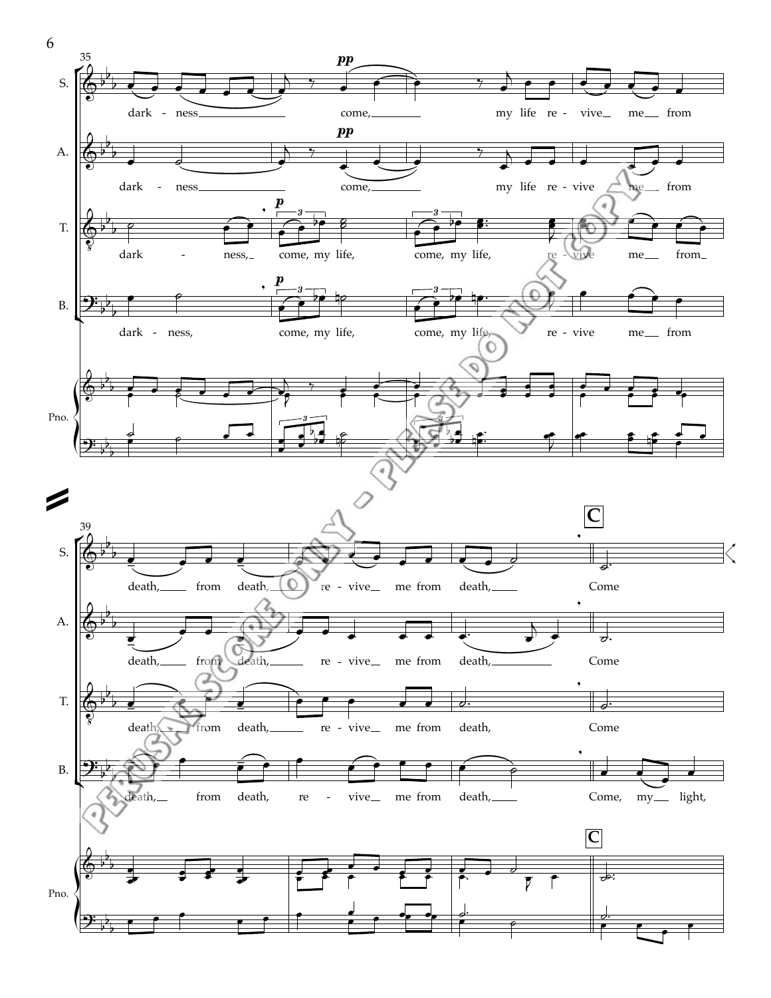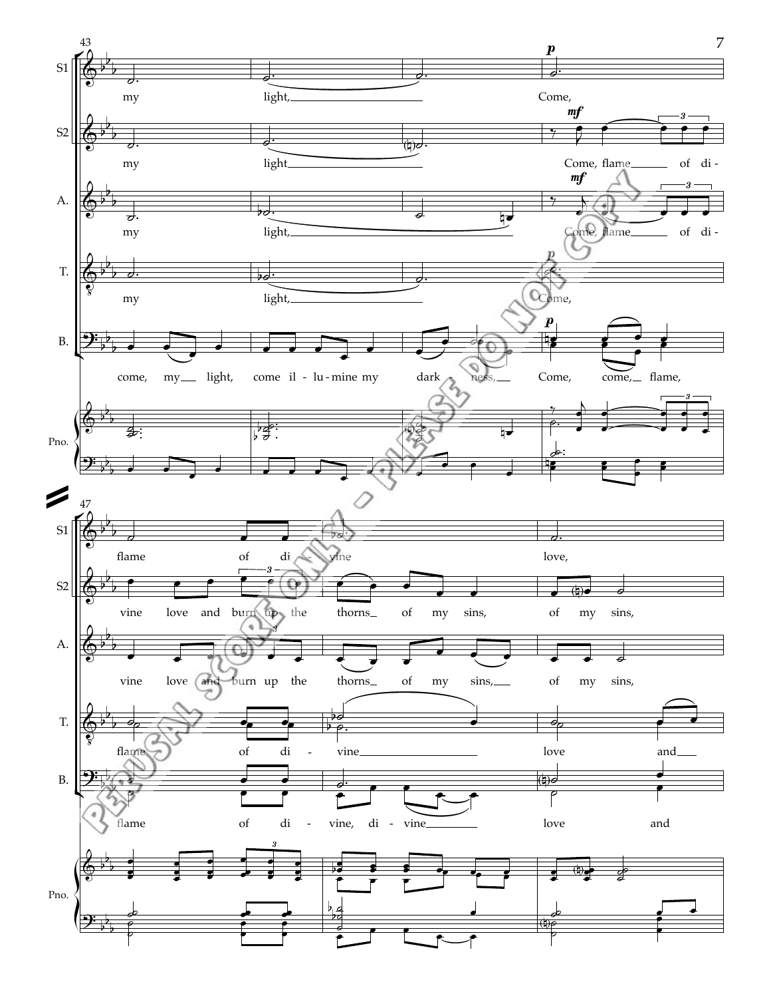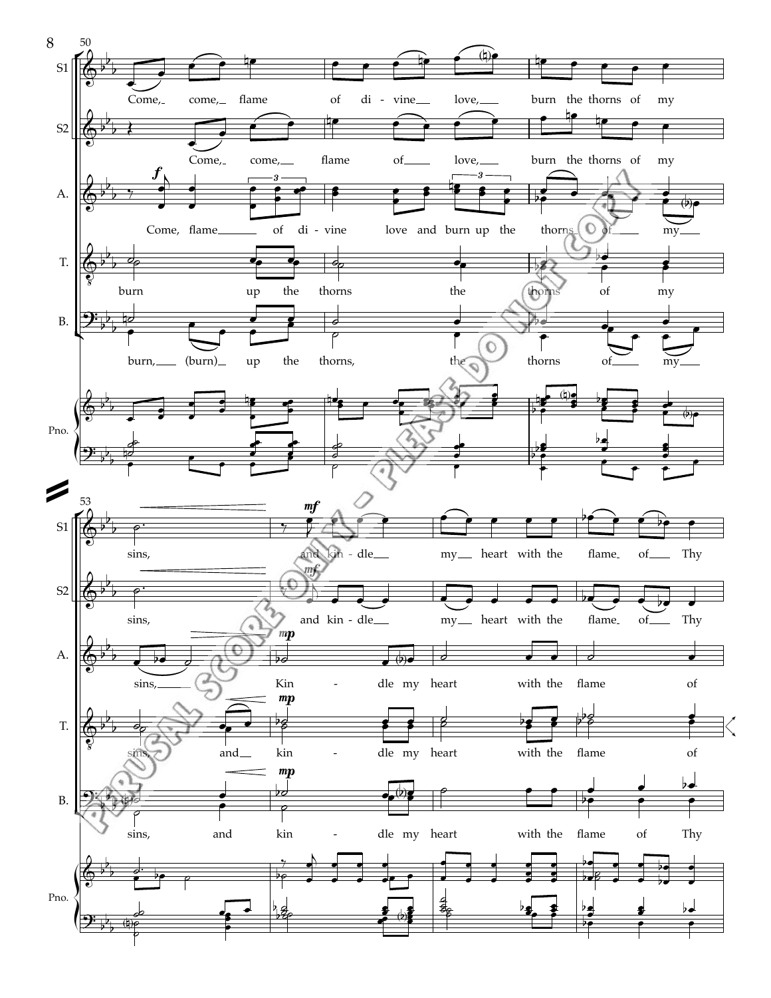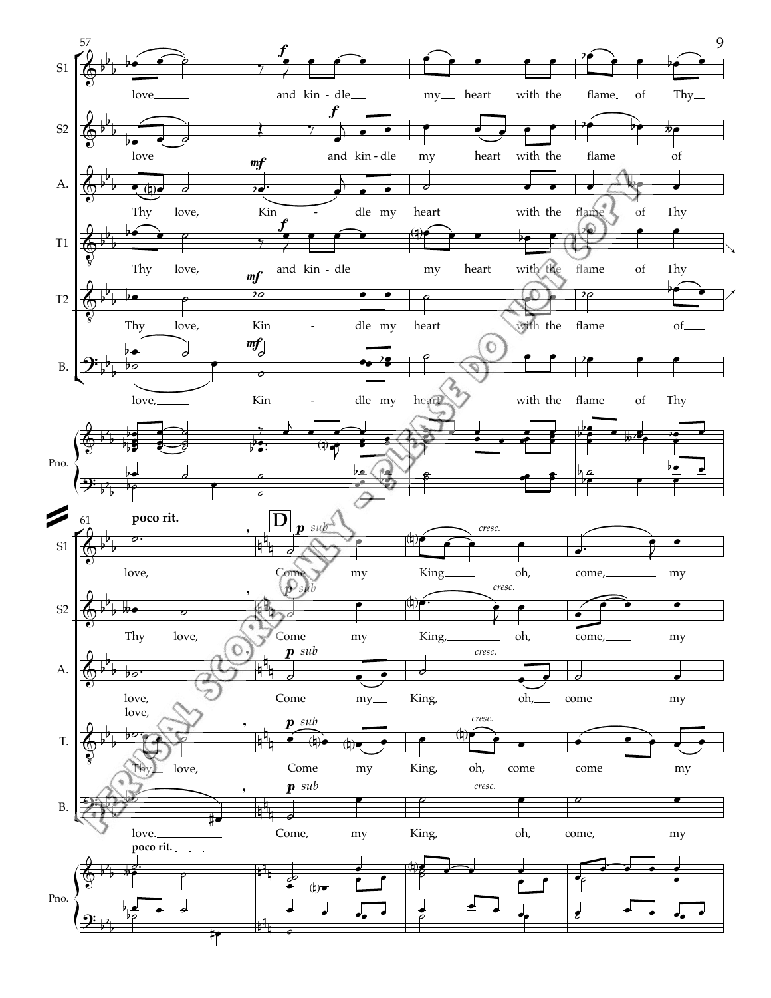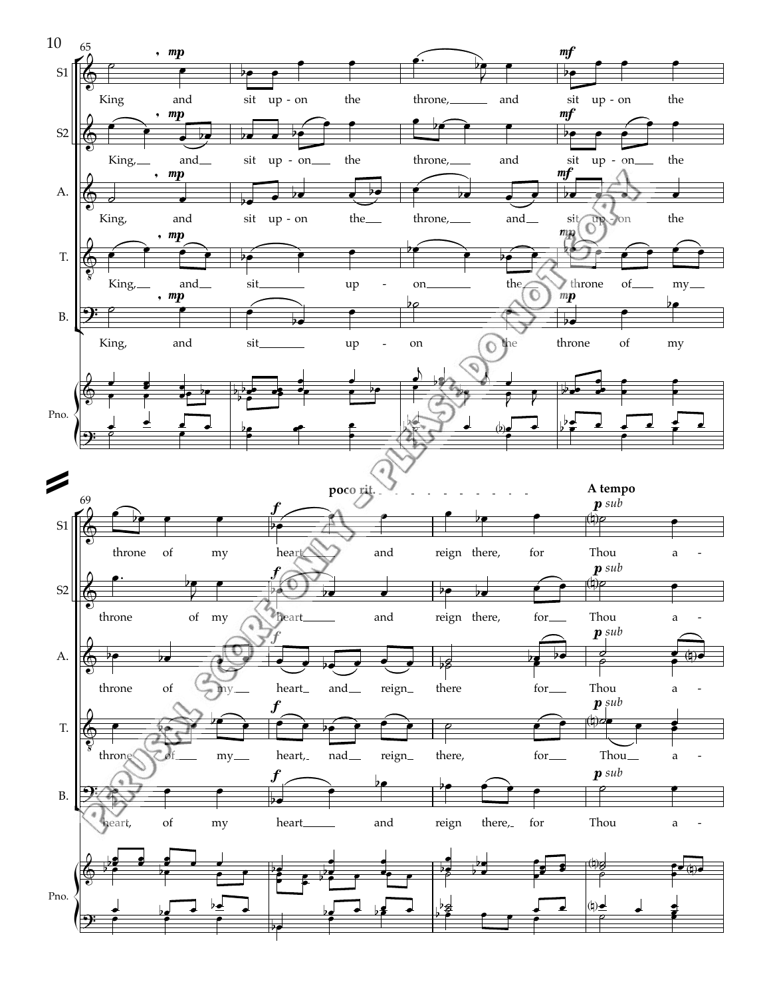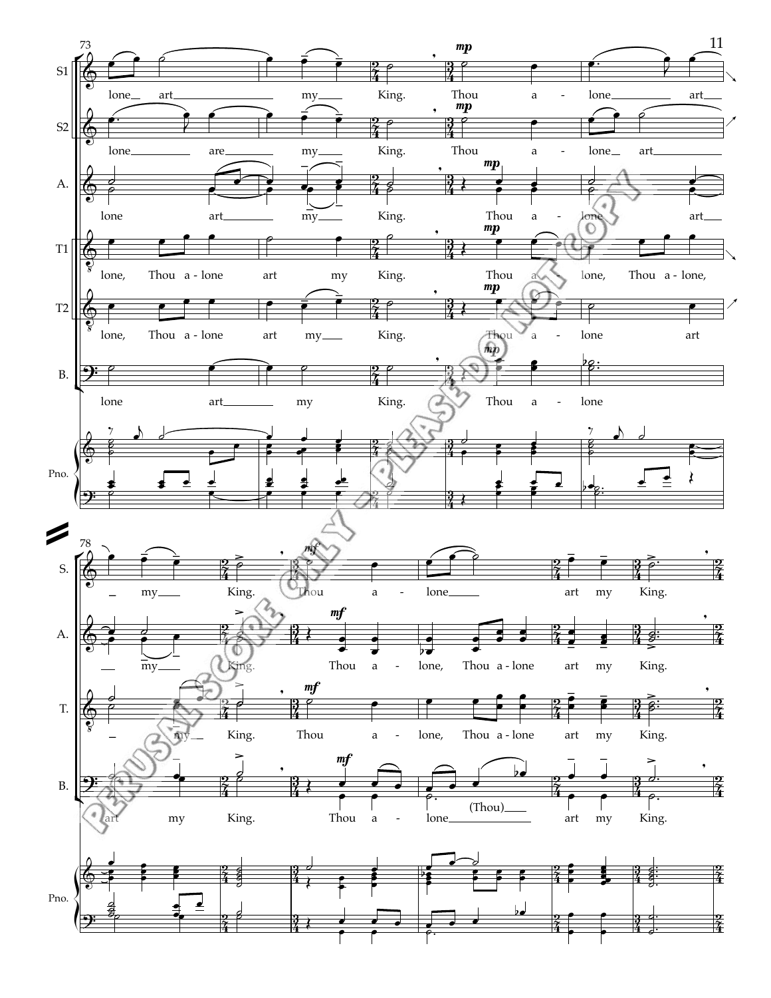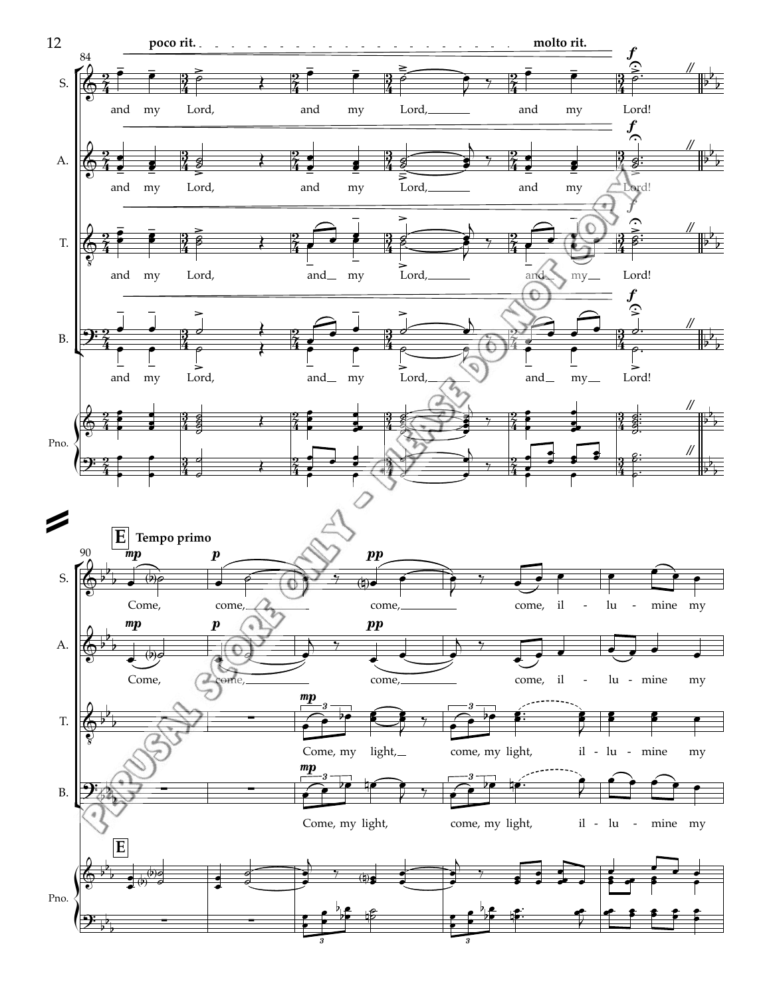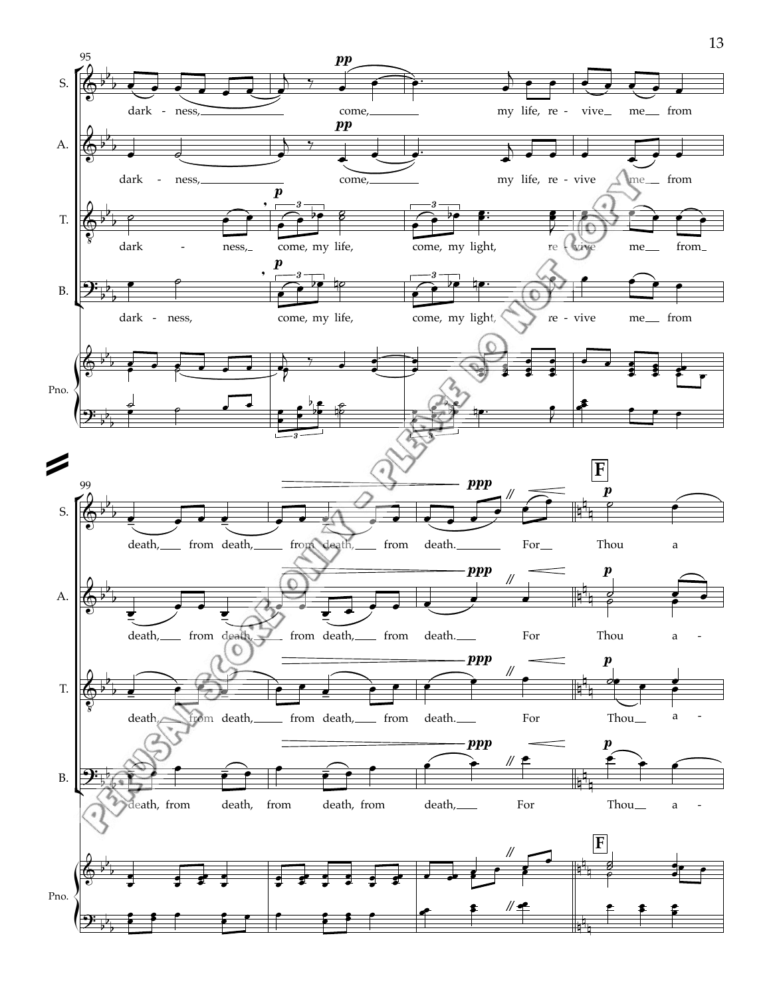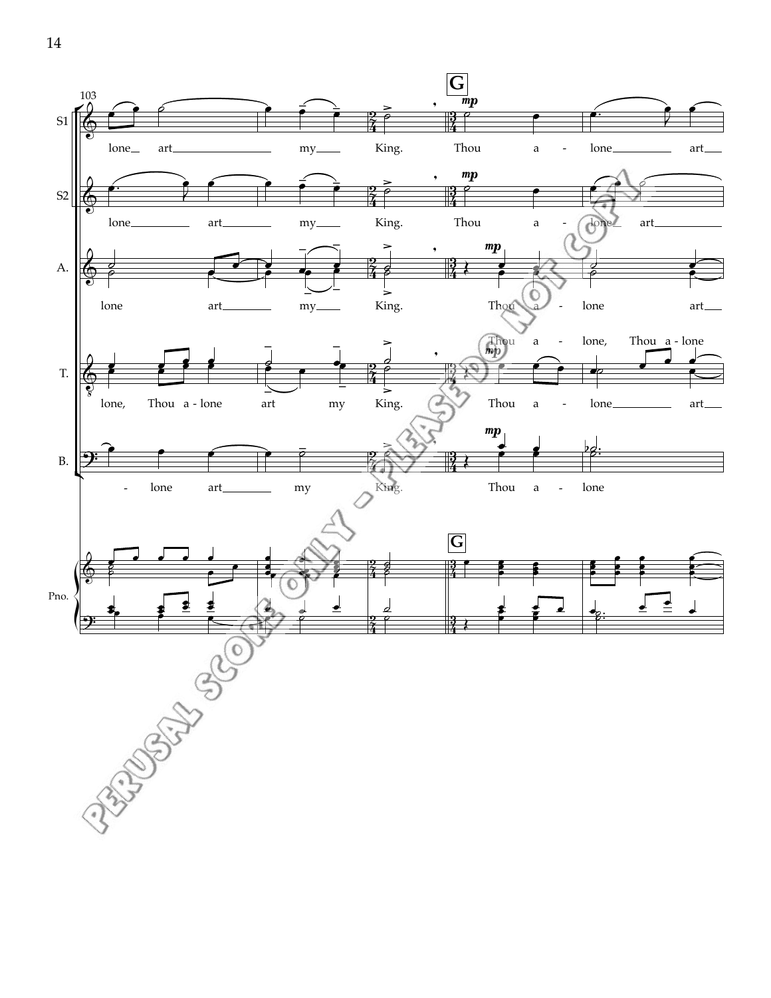